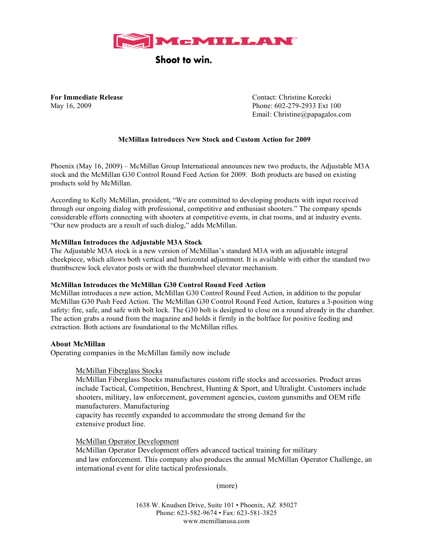

# Shoot to win.

**For Immediate Release** Contact: Christine Korecki May 16, 2009 Phone: 602-279-2933 Ext 100 Email: Christine@papagalos.com

# **McMillan Introduces New Stock and Custom Action for 2009**

Phoenix (May 16, 2009) – McMillan Group International announces new two products, the Adjustable M3A stock and the McMillan G30 Control Round Feed Action for 2009. Both products are based on existing products sold by McMillan.

According to Kelly McMillan, president, "We are committed to developing products with input received through our ongoing dialog with professional, competitive and enthusiast shooters." The company spends considerable efforts connecting with shooters at competitive events, in chat rooms, and at industry events. "Our new products are a result of such dialog," adds McMillan.

#### **McMillan Introduces the Adjustable M3A Stock**

The Adjustable M3A stock is a new version of McMillan's standard M3A with an adjustable integral cheekpiece, which allows both vertical and horizontal adjustment. It is available with either the standard two thumbscrew lock elevator posts or with the thumbwheel elevator mechanism.

# **McMillan Introduces the McMillan G30 Control Round Feed Action**

McMillan introduces a new action, McMillan G30 Control Round Feed Action, in addition to the popular McMillan G30 Push Feed Action. The McMillan G30 Control Round Feed Action, features a 3-position wing safety: fire, safe, and safe with bolt lock. The G30 bolt is designed to close on a round already in the chamber. The action grabs a round from the magazine and holds it firmly in the boltface for positive feeding and extraction. Both actions are foundational to the McMillan rifles.

# **About McMillan**

Operating companies in the McMillan family now include

#### McMillan Fiberglass Stocks

McMillan Fiberglass Stocks manufactures custom rifle stocks and accessories. Product areas include Tactical, Competition, Benchrest, Hunting & Sport, and Ultralight. Customers include shooters, military, law enforcement, government agencies, custom gunsmiths and OEM rifle manufacturers. Manufacturing capacity has recently expanded to accommodate the strong demand for the

extensive product line.

McMillan Operator Development

McMillan Operator Development offers advanced tactical training for military and law enforcement. This company also produces the annual McMillan Operator Challenge, an international event for elite tactical professionals.

(more)

1638 W. Knudsen Drive, Suite 101 • Phoenix, AZ 85027 Phone: 623-582-9674 • Fax: 623-581-3825 www.mcmillanusa.com